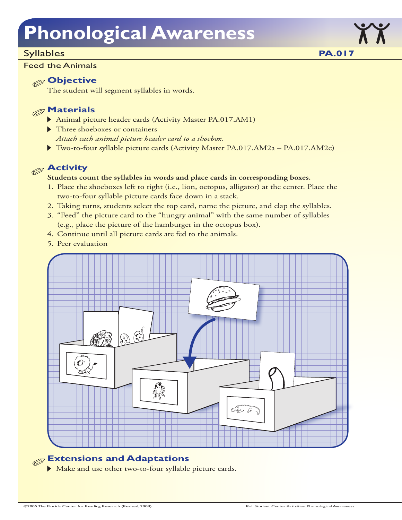### Syllables

### Feed the Animals

## **Objective**

The student will segment syllables in words.

# **Materials**

- Animal picture header cards (Activity Master PA.017.AM1)
- Three shoeboxes or containers *Attach each animal picture header card to a shoebox.*
- Two-to-four syllable picture cards (Activity Master PA.017.AM2a PA.017.AM2c)

# **Activity**

### **Students count the syllables in words and place cards in corresponding boxes.**

- 1. Place the shoeboxes left to right (i.e., lion, octopus, alligator) at the center. Place the two-to-four syllable picture cards face down in a stack.
- 2. Taking turns, students select the top card, name the picture, and clap the syllables.
- 3. "Feed" the picture card to the "hungry animal" with the same number of syllables (e.g., place the picture of the hamburger in the octopus box).
- 4. Continue until all picture cards are fed to the animals.
- 5. Peer evaluation



# **Extensions and Adaptations**

Make and use other two-to-four syllable picture cards.

**PA.017**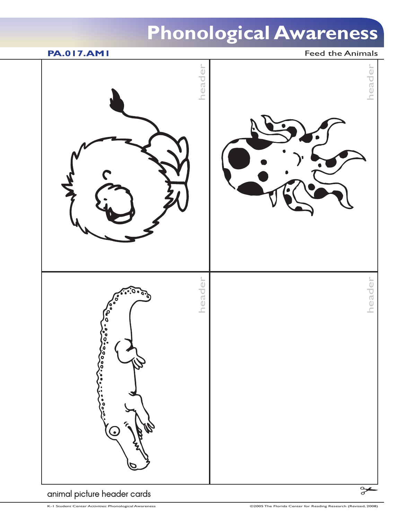

animal picture header cards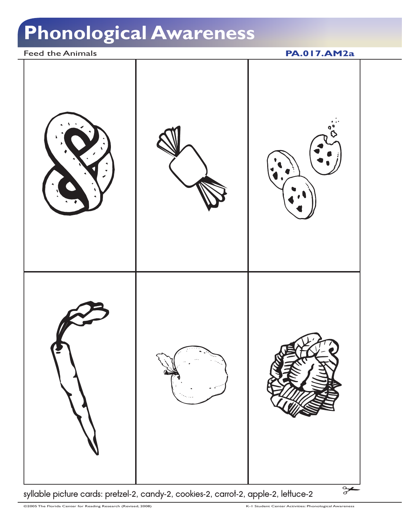Feed the Animals **PA.017.AM2a** 



syllable picture cards: pretzel-2, candy-2, cookies-2, carrot-2, apple-2, lettuce-2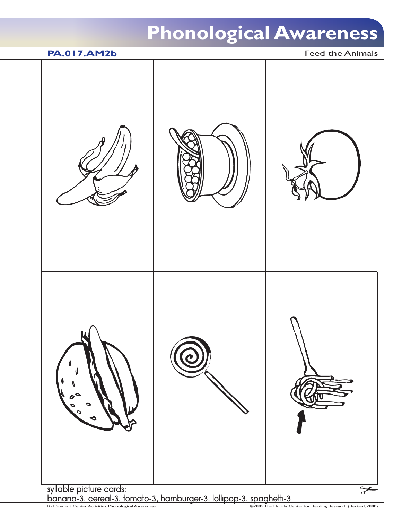# **PA.017.AM2b** Feed the Animals  $\frac{\infty}{\infty}$

syllable picture cards: banana-3, cereal-3, tomato-3, hamburger-3, lollipop-3, spaghetti-3